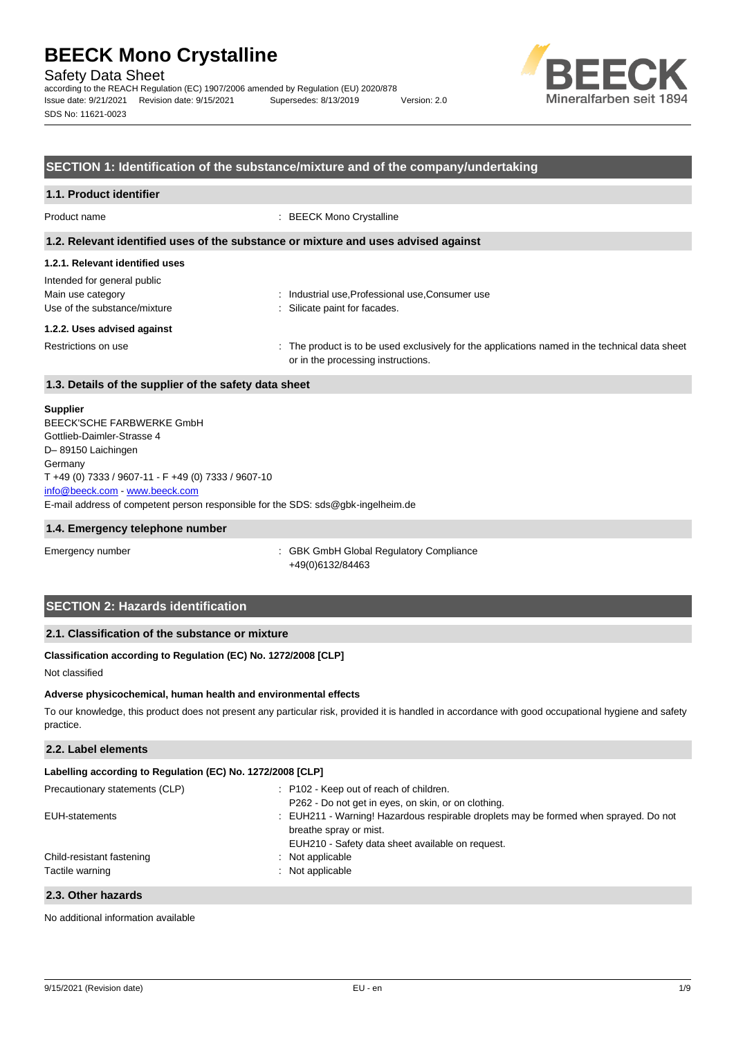Safety Data Sheet

according to the REACH Regulation (EC) 1907/2006 amended by Regulation (EU) 2020/878 Issue date: 9/21/2021 Revision date: 9/15/2021 Supersedes: 8/13/2019 Version: 2.0 SDS No: 11621-0023



## **SECTION 1: Identification of the substance/mixture and of the company/undertaking**

### **1.1. Product identifier**

Product name  $\qquad \qquad : \text{BEECK }$  Mono Crystalline

#### **1.2. Relevant identified uses of the substance or mixture and uses advised against**

#### **1.2.1. Relevant identified uses**

Intended for general public Main use category **industrial use, Professional use, Consumer use** industrial use, Professional use, Consumer use Use of the substance/mixture in the substance/mixture in the substance in the substance of the substance of the substance of the substance of the substance of the substance of the substance of the substance of the substanc

#### **1.2.2. Uses advised against**

Restrictions on use state of the product is to be used exclusively for the applications named in the technical data sheet or in the processing instructions.

## **1.3. Details of the supplier of the safety data sheet**

#### **Supplier**

E-mail address of competent person responsible for the SDS: sds@gbk-ingelheim.de BEECK'SCHE FARBWERKE GmbH Gottlieb-Daimler-Strasse 4 D– 89150 Laichingen Germany T +49 (0) 7333 / 9607-11 - F +49 (0) 7333 / 9607-10 [info@beeck.com](mailto:info@beeck.com) - [www.beeck.com](http://www.beeck.com/)

#### **1.4. Emergency telephone number**

Emergency number **Emergency** number **1996** is GBK GmbH Global Regulatory Compliance +49(0)6132/84463

## **SECTION 2: Hazards identification**

## **2.1. Classification of the substance or mixture**

## **Classification according to Regulation (EC) No. 1272/2008 [CLP]**

Not classified

## **Adverse physicochemical, human health and environmental effects**

To our knowledge, this product does not present any particular risk, provided it is handled in accordance with good occupational hygiene and safety practice.

### **2.2. Label elements**

| Labelling according to Regulation (EC) No. 1272/2008 [CLP] |                                                                                      |
|------------------------------------------------------------|--------------------------------------------------------------------------------------|
| Precautionary statements (CLP)                             | : P102 - Keep out of reach of children.                                              |
|                                                            | P262 - Do not get in eyes, on skin, or on clothing.                                  |
| EUH-statements                                             | : EUH211 - Warning! Hazardous respirable droplets may be formed when sprayed. Do not |
|                                                            | breathe spray or mist.                                                               |
|                                                            | EUH210 - Safety data sheet available on request.                                     |
| Child-resistant fastening                                  | Not applicable                                                                       |
| Tactile warning                                            | Not applicable                                                                       |
|                                                            |                                                                                      |

## **2.3. Other hazards**

No additional information available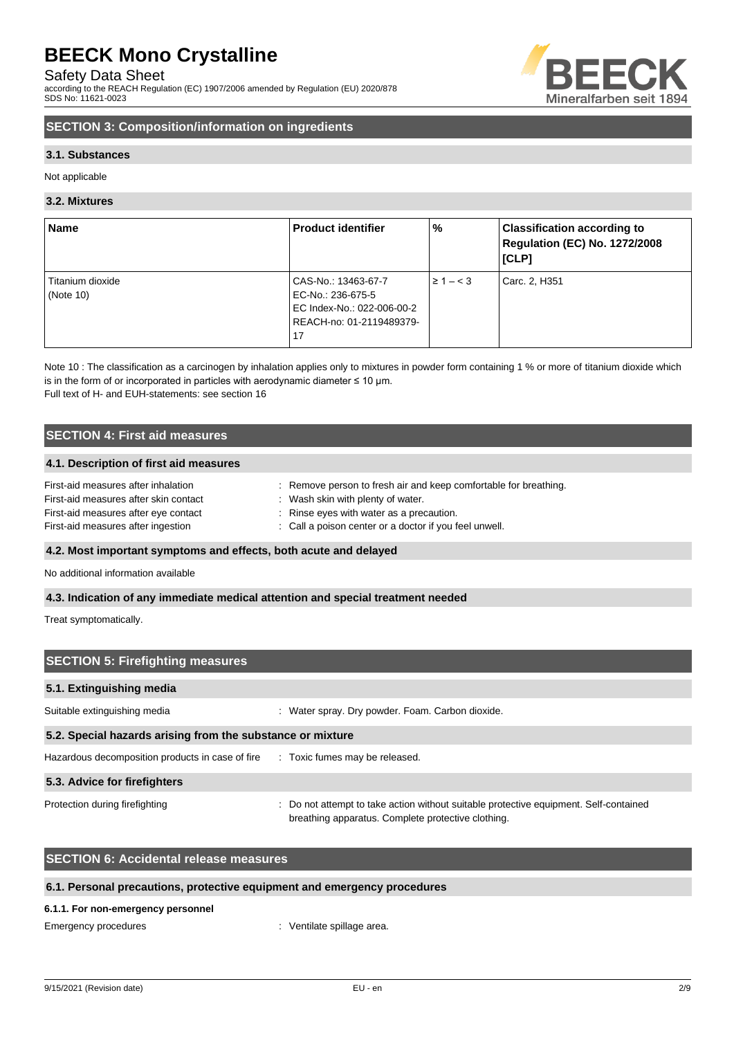Safety Data Sheet

according to the REACH Regulation (EC) 1907/2006 amended by Regulation (EU) 2020/878 SDS No: 11621-0023



## **SECTION 3: Composition/information on ingredients**

## **3.1. Substances**

Not applicable

## **3.2. Mixtures**

| Name             | <b>Product identifier</b>  | %              | <b>Classification according to</b><br><b>Regulation (EC) No. 1272/2008</b><br>[CLP] |
|------------------|----------------------------|----------------|-------------------------------------------------------------------------------------|
| Titanium dioxide | CAS-No.: 13463-67-7        | $\geq 1 - < 3$ | Carc. 2, H351                                                                       |
| (Note $10$ )     | EC-No.: 236-675-5          |                |                                                                                     |
|                  | EC Index-No.: 022-006-00-2 |                |                                                                                     |
|                  | REACH-no: 01-2119489379-   |                |                                                                                     |
|                  | 17                         |                |                                                                                     |

Note 10 : The classification as a carcinogen by inhalation applies only to mixtures in powder form containing 1 % or more of titanium dioxide which is in the form of or incorporated in particles with aerodynamic diameter  $\leq 10$  µm. Full text of H- and EUH-statements: see section 16

## **SECTION 4: First aid measures**

## **4.1. Description of first aid measures**

| First-aid measures after inhalation   | Remove person to fresh air and keep comfortable for breathing. |
|---------------------------------------|----------------------------------------------------------------|
| First-aid measures after skin contact | Wash skin with plenty of water.                                |
| First-aid measures after eye contact  | : Rinse eyes with water as a precaution.                       |
| First-aid measures after ingestion    | : Call a poison center or a doctor if you feel unwell.         |
|                                       |                                                                |

## **4.2. Most important symptoms and effects, both acute and delayed**

No additional information available

## **4.3. Indication of any immediate medical attention and special treatment needed**

Treat symptomatically.

| <b>SECTION 5: Firefighting measures</b>                                         |                                                                                                                                             |  |  |
|---------------------------------------------------------------------------------|---------------------------------------------------------------------------------------------------------------------------------------------|--|--|
| 5.1. Extinguishing media                                                        |                                                                                                                                             |  |  |
| Suitable extinguishing media                                                    | : Water spray. Dry powder. Foam. Carbon dioxide.                                                                                            |  |  |
| 5.2. Special hazards arising from the substance or mixture                      |                                                                                                                                             |  |  |
| Hazardous decomposition products in case of fire : Toxic fumes may be released. |                                                                                                                                             |  |  |
| 5.3. Advice for firefighters                                                    |                                                                                                                                             |  |  |
| Protection during firefighting                                                  | : Do not attempt to take action without suitable protective equipment. Self-contained<br>breathing apparatus. Complete protective clothing. |  |  |

## **SECTION 6: Accidental release measures**

## **6.1. Personal precautions, protective equipment and emergency procedures**

#### **6.1.1. For non-emergency personnel**

Emergency procedures in the spillage area.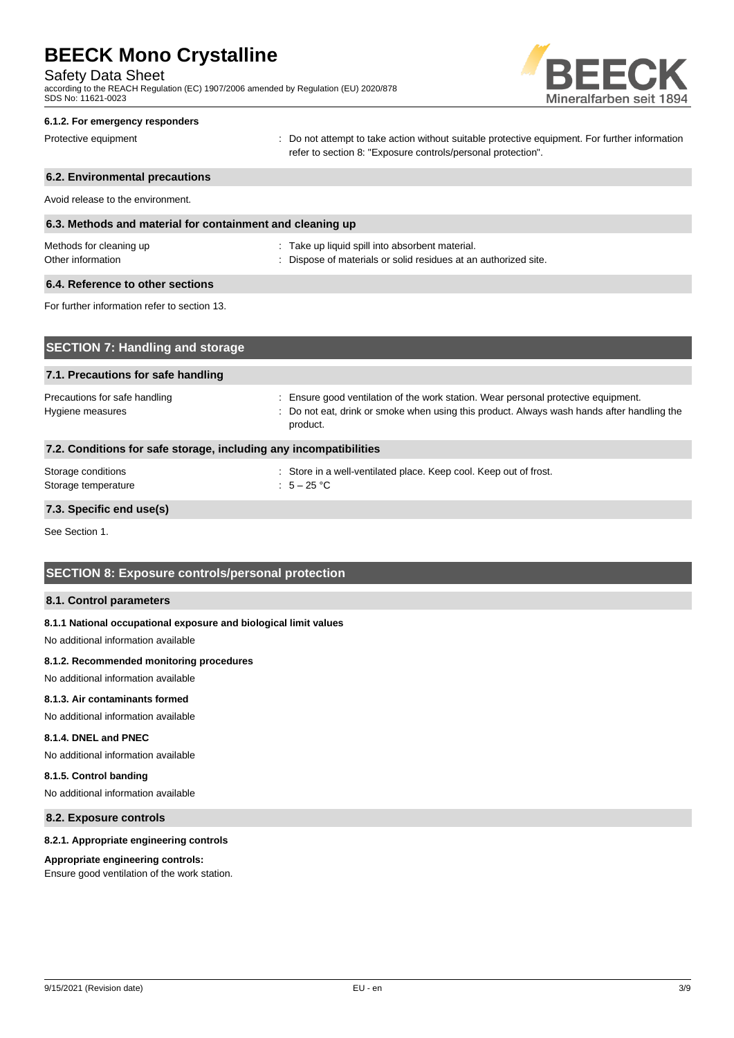Safety Data Sheet

according to the REACH Regulation (EC) 1907/2006 amended by Regulation (EU) 2020/878 SDS No: 11621-0023



#### **6.1.2. For emergency responders**

Protective equipment **interprotective** content of the not attempt to take action without suitable protective equipment. For further information refer to section 8: "Exposure controls/personal protection".

## **6.2. Environmental precautions** Avoid release to the environment. **6.3. Methods and material for containment and cleaning up** Methods for cleaning up example and the state up liquid spill into absorbent material. Other information **contract of the contract of the Contract of Contract Standard Contract of Contract Contract Contract Standard Contract Contract Contract Contract Contract Contract Contract Contract Contract Contract Con 6.4. Reference to other sections** For further information refer to section 13. **SECTION 7: Handling and storage**

## **7.1. Precautions for safe handling** Precautions for safe handling : Ensure good ventilation of the work station. Wear personal protective equipment. Hygiene measures **included in the state of the state of the state of the state of the state of the state of the state of the state of the state of the state of the state of the state of the state of the state of the state** product. **7.2. Conditions for safe storage, including any incompatibilities** Storage conditions : Store in a well-ventilated place. Keep cool. Keep out of frost.

## **7.3. Specific end use(s)**

See Section 1.

## **SECTION 8: Exposure controls/personal protection**

Storage temperature  $\qquad \qquad : \qquad 5-25 \text{ °C}$ 

## **8.1. Control parameters**

#### **8.1.1 National occupational exposure and biological limit values**

No additional information available

#### **8.1.2. Recommended monitoring procedures**

No additional information available

#### **8.1.3. Air contaminants formed**

No additional information available

## **8.1.4. DNEL and PNEC**

No additional information available

#### **8.1.5. Control banding**

No additional information available

## **8.2. Exposure controls**

#### **8.2.1. Appropriate engineering controls**

#### **Appropriate engineering controls:**

Ensure good ventilation of the work station.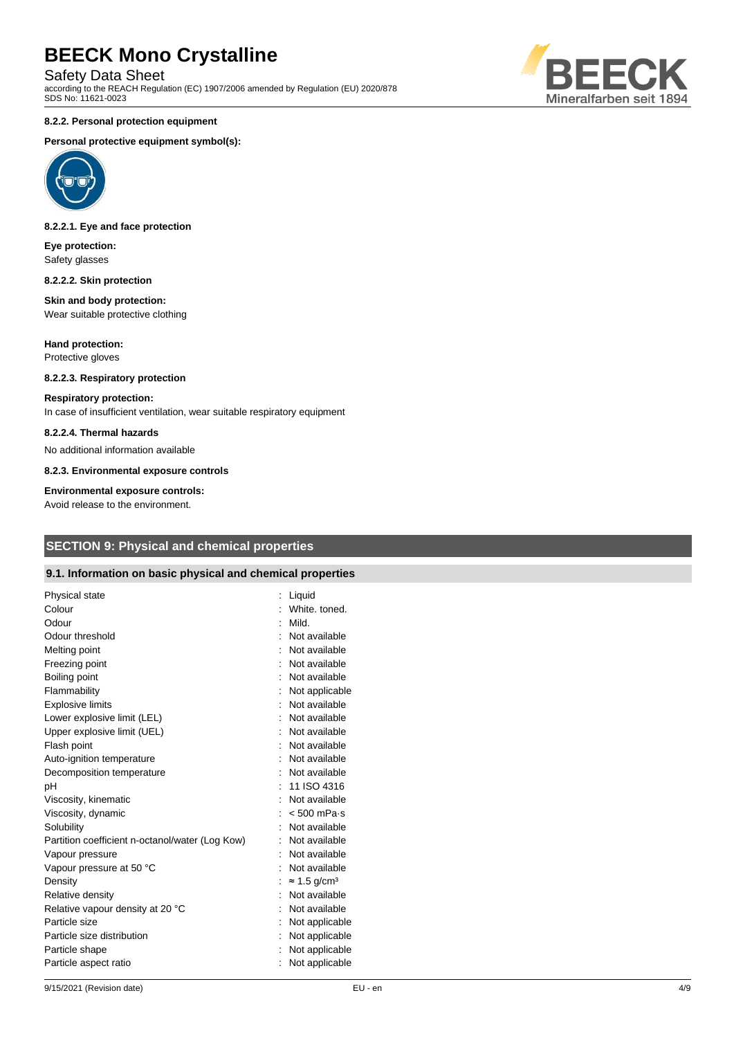Safety Data Sheet

according to the REACH Regulation (EC) 1907/2006 amended by Regulation (EU) 2020/878 SDS No: 11621-0023

#### **8.2.2. Personal protection equipment**

#### **Personal protective equipment symbol(s):**



#### **8.2.2.1. Eye and face protection**

**Eye protection:** Safety glasses

#### **8.2.2.2. Skin protection**

#### **Skin and body protection:** Wear suitable protective clothing

**Hand protection:** Protective gloves

## **8.2.2.3. Respiratory protection**

## **Respiratory protection:**

In case of insufficient ventilation, wear suitable respiratory equipment

### **8.2.2.4. Thermal hazards**

No additional information available

**8.2.3. Environmental exposure controls**

#### **Environmental exposure controls:**

Avoid release to the environment.

## **SECTION 9: Physical and chemical properties**

## **9.1. Information on basic physical and chemical properties**

| Physical state<br>Colour<br>Odour               | Liquid<br>White, toned.<br>Mild. |
|-------------------------------------------------|----------------------------------|
| Odour threshold                                 | Not available                    |
| Melting point                                   | Not available                    |
| Freezing point                                  | Not available                    |
| Boiling point                                   | Not available                    |
| Flammability                                    | Not applicable                   |
| <b>Explosive limits</b>                         | Not available                    |
| Lower explosive limit (LEL)                     | Not available                    |
| Upper explosive limit (UEL)                     | Not available                    |
| Flash point                                     | Not available                    |
| Auto-ignition temperature                       | Not available                    |
| Decomposition temperature                       | Not available                    |
| pH                                              | 11 ISO 4316                      |
| Viscosity, kinematic                            | Not available                    |
| Viscosity, dynamic                              | $< 500$ mPa $\cdot$ s            |
| Solubility                                      | Not available                    |
| Partition coefficient n-octanol/water (Log Kow) | Not available                    |
| Vapour pressure                                 | Not available                    |
| Vapour pressure at 50 °C                        | Not available                    |
| Density                                         | $\approx$ 1.5 g/cm <sup>3</sup>  |
| Relative density                                | Not available                    |
| Relative vapour density at 20 °C                | Not available                    |
| Particle size                                   | Not applicable                   |
| Particle size distribution                      | Not applicable                   |
| Particle shape                                  | Not applicable                   |
| Particle aspect ratio                           | Not applicable                   |
|                                                 |                                  |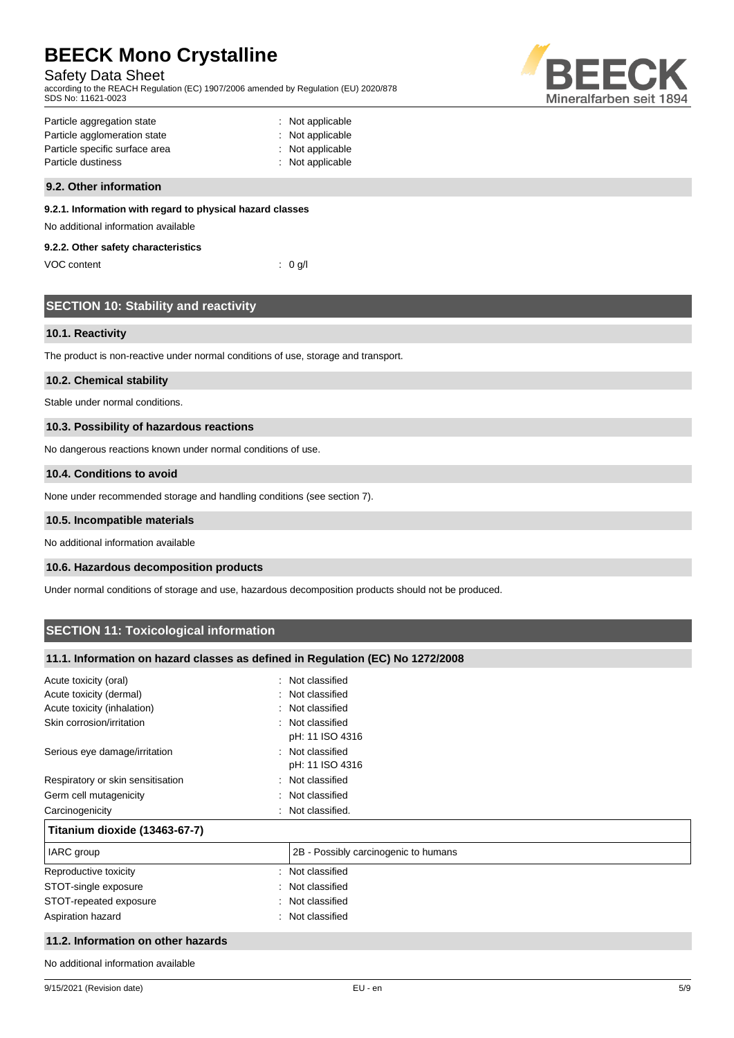## Safety Data Sheet

according to the REACH Regulation (EC) 1907/2006 amended by Regulation (EU) 2020/878 SDS No: 11621-0023



| Particle aggregation state     | : Not applicable |
|--------------------------------|------------------|
| Particle agglomeration state   | : Not applicable |
| Particle specific surface area | : Not applicable |
| Particle dustiness             | : Not applicable |
|                                |                  |

## **9.2. Other information**

### **9.2.1. Information with regard to physical hazard classes**

No additional information available

### **9.2.2. Other safety characteristics**

VOC content : 0 g/l

| <b>SECTION 10: Stability and reactivity</b> |  |
|---------------------------------------------|--|
|                                             |  |
|                                             |  |

## **10.1. Reactivity**

The product is non-reactive under normal conditions of use, storage and transport.

## **10.2. Chemical stability**

Stable under normal conditions.

## **10.3. Possibility of hazardous reactions**

No dangerous reactions known under normal conditions of use.

### **10.4. Conditions to avoid**

None under recommended storage and handling conditions (see section 7).

#### **10.5. Incompatible materials**

No additional information available

## **10.6. Hazardous decomposition products**

Under normal conditions of storage and use, hazardous decomposition products should not be produced.

## **SECTION 11: Toxicological information**

## **11.1. Information on hazard classes as defined in Regulation (EC) No 1272/2008**

| Acute toxicity (oral)              | Not classified<br>$\sim$             |
|------------------------------------|--------------------------------------|
| Acute toxicity (dermal)            | : Not classified                     |
| Acute toxicity (inhalation)        | : Not classified                     |
| Skin corrosion/irritation          | : Not classified<br>pH: 11 ISO 4316  |
| Serious eye damage/irritation      | : Not classified<br>pH: 11 ISO 4316  |
| Respiratory or skin sensitisation  | : Not classified                     |
| Germ cell mutagenicity             | Not classified<br>۰.                 |
| Carcinogenicity                    | Not classified.                      |
| Titanium dioxide (13463-67-7)      |                                      |
| IARC group                         | 2B - Possibly carcinogenic to humans |
| Reproductive toxicity              | : Not classified                     |
| STOT-single exposure               | : Not classified                     |
| STOT-repeated exposure             | : Not classified                     |
| Aspiration hazard                  | : Not classified                     |
| 11.2. Information on other hazards |                                      |

No additional information available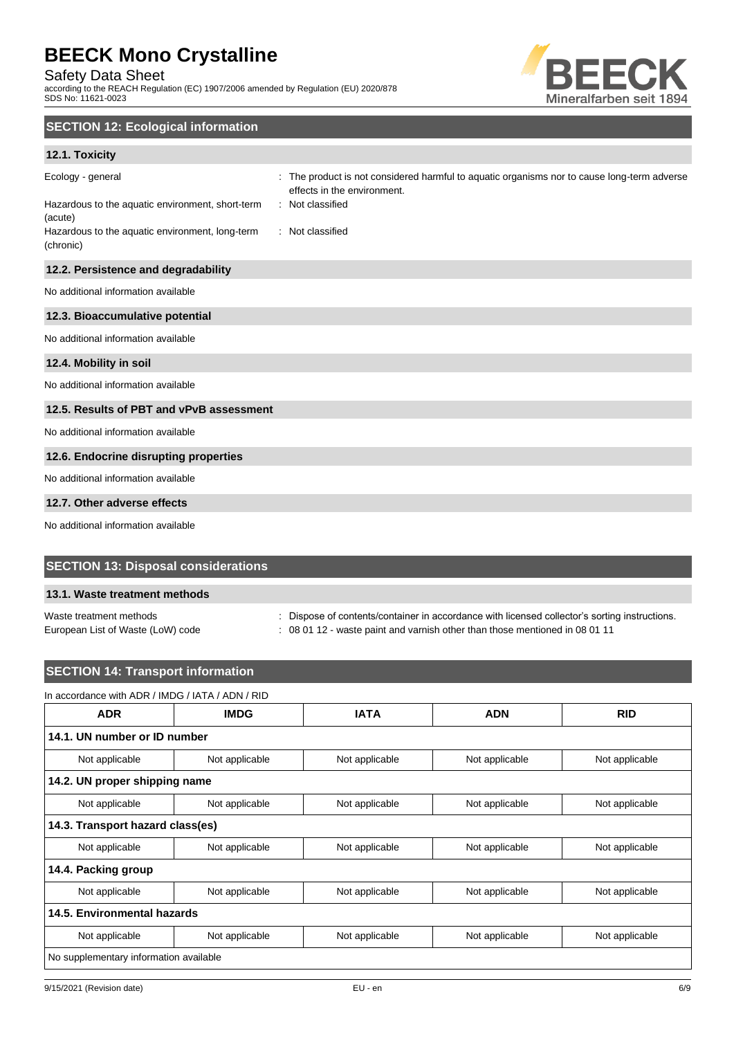Safety Data Sheet

according to the REACH Regulation (EC) 1907/2006 amended by Regulation (EU) 2020/878 SDS No: 11621-0023



## **SECTION 12: Ecological information**

## **12.1. Toxicity**

| Ecology - general<br>Hazardous to the aquatic environment, short-term<br>(acute)<br>Hazardous to the aquatic environment, long-term<br>(chronic) | The product is not considered harmful to aquatic organisms nor to cause long-term adverse<br>effects in the environment.<br>: Not classified<br>: Not classified |
|--------------------------------------------------------------------------------------------------------------------------------------------------|------------------------------------------------------------------------------------------------------------------------------------------------------------------|
| 12.2. Persistence and degradability                                                                                                              |                                                                                                                                                                  |
| No additional information available                                                                                                              |                                                                                                                                                                  |
| 12.3. Bioaccumulative potential                                                                                                                  |                                                                                                                                                                  |
| No additional information available                                                                                                              |                                                                                                                                                                  |
| 12.4. Mobility in soil                                                                                                                           |                                                                                                                                                                  |
| No additional information available                                                                                                              |                                                                                                                                                                  |
| 12.5. Results of PBT and vPvB assessment                                                                                                         |                                                                                                                                                                  |
| No additional information available                                                                                                              |                                                                                                                                                                  |
| 12.6. Endocrine disrupting properties                                                                                                            |                                                                                                                                                                  |
| No additional information available                                                                                                              |                                                                                                                                                                  |
| 12.7. Other adverse effects                                                                                                                      |                                                                                                                                                                  |

No additional information available

## **SECTION 13: Disposal considerations**

## **13.1. Waste treatment methods**

Waste treatment methods : Dispose of contents/container in accordance with licensed collector's sorting instructions.

European List of Waste (LoW) code : 08 01 12 - waste paint and varnish other than those mentioned in 08 01 11

## **SECTION 14: Transport information**

## In accordance with ADR / IMDG / IATA / ADN / RID

| <b>ADR</b>                             | <b>IMDG</b>    | <b>IATA</b>    | <b>ADN</b>     | <b>RID</b>     |
|----------------------------------------|----------------|----------------|----------------|----------------|
| 14.1. UN number or ID number           |                |                |                |                |
| Not applicable                         | Not applicable | Not applicable | Not applicable | Not applicable |
| 14.2. UN proper shipping name          |                |                |                |                |
| Not applicable                         | Not applicable | Not applicable | Not applicable | Not applicable |
| 14.3. Transport hazard class(es)       |                |                |                |                |
| Not applicable                         | Not applicable | Not applicable | Not applicable | Not applicable |
| 14.4. Packing group                    |                |                |                |                |
| Not applicable                         | Not applicable | Not applicable | Not applicable | Not applicable |
| 14.5. Environmental hazards            |                |                |                |                |
| Not applicable                         | Not applicable | Not applicable | Not applicable | Not applicable |
| No supplementary information available |                |                |                |                |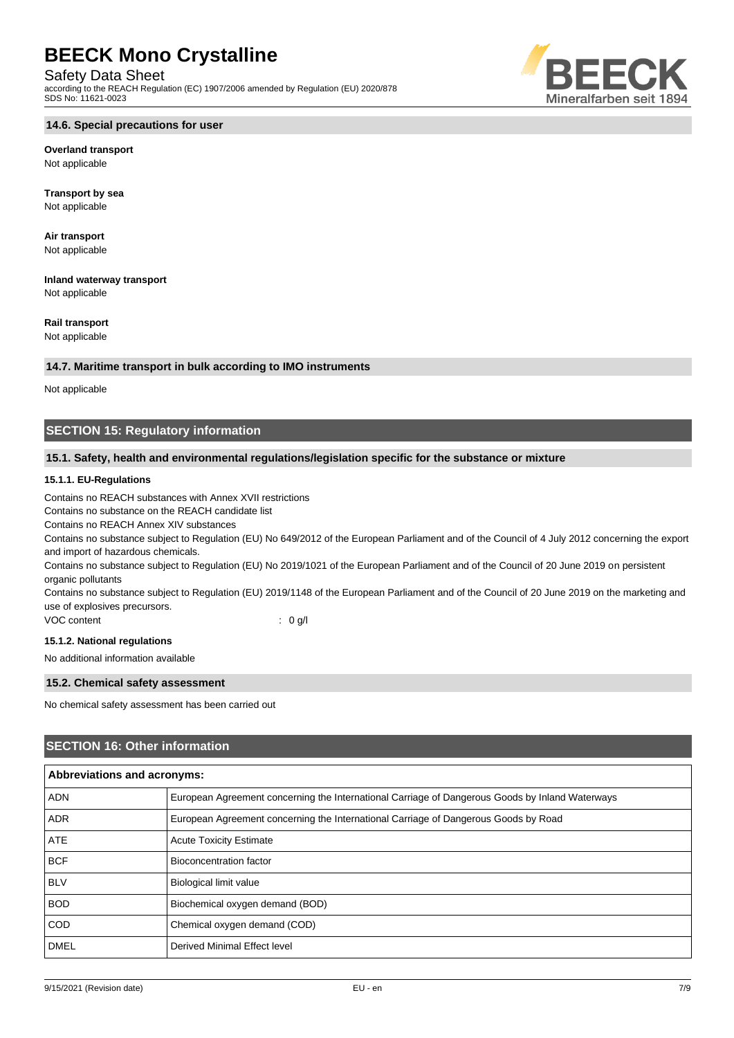Safety Data Sheet

according to the REACH Regulation (EC) 1907/2006 amended by Regulation (EU) 2020/878 SDS No: 11621-0023

## **14.6. Special precautions for user**

## **Overland transport**

Not applicable

**Transport by sea** Not applicable

**Air transport** Not applicable

**Inland waterway transport** Not applicable

## **Rail transport**

Not applicable

## **14.7. Maritime transport in bulk according to IMO instruments**

Not applicable

## **SECTION 15: Regulatory information**

## **15.1. Safety, health and environmental regulations/legislation specific for the substance or mixture**

## **15.1.1. EU-Regulations**

Contains no REACH substances with Annex XVII restrictions

Contains no substance on the REACH candidate list

Contains no REACH Annex XIV substances

Contains no substance subject to Regulation (EU) No 649/2012 of the European Parliament and of the Council of 4 July 2012 concerning the export and import of hazardous chemicals.

Contains no substance subject to Regulation (EU) No 2019/1021 of the European Parliament and of the Council of 20 June 2019 on persistent organic pollutants

Contains no substance subject to Regulation (EU) 2019/1148 of the European Parliament and of the Council of 20 June 2019 on the marketing and use of explosives precursors.

VOC content : 0 g/l

## **15.1.2. National regulations**

No additional information available

## **15.2. Chemical safety assessment**

No chemical safety assessment has been carried out

## **SECTION 16: Other information**

|             | <b>Abbreviations and acronyms:</b>                                                              |  |  |
|-------------|-------------------------------------------------------------------------------------------------|--|--|
| <b>ADN</b>  | European Agreement concerning the International Carriage of Dangerous Goods by Inland Waterways |  |  |
| <b>ADR</b>  | European Agreement concerning the International Carriage of Dangerous Goods by Road             |  |  |
| <b>ATE</b>  | <b>Acute Toxicity Estimate</b>                                                                  |  |  |
| <b>BCF</b>  | Bioconcentration factor                                                                         |  |  |
| <b>BLV</b>  | <b>Biological limit value</b>                                                                   |  |  |
| <b>BOD</b>  | Biochemical oxygen demand (BOD)                                                                 |  |  |
| <b>COD</b>  | Chemical oxygen demand (COD)                                                                    |  |  |
| <b>DMEL</b> | Derived Minimal Effect level                                                                    |  |  |

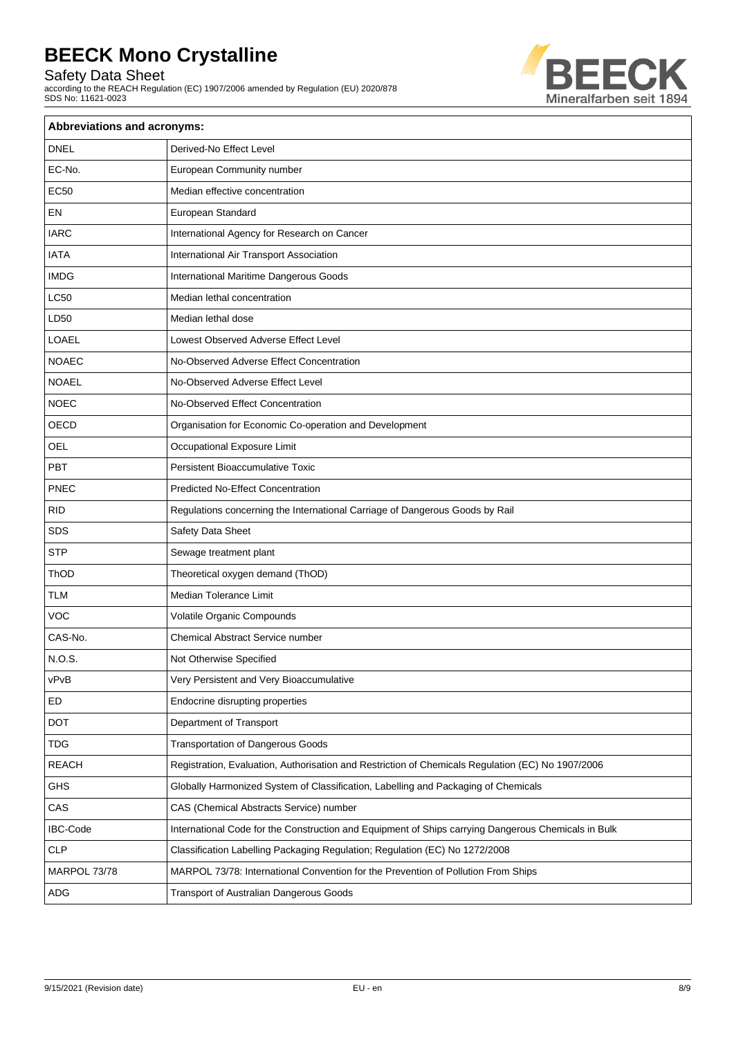Safety Data Sheet

according to the REACH Regulation (EC) 1907/2006 amended by Regulation (EU) 2020/878 SDS No: 11621-0023



| Abbreviations and acronyms: |                                                                                                     |
|-----------------------------|-----------------------------------------------------------------------------------------------------|
| <b>DNEL</b>                 | Derived-No Effect Level                                                                             |
| EC-No.                      | European Community number                                                                           |
| <b>EC50</b>                 | Median effective concentration                                                                      |
| EN                          | European Standard                                                                                   |
| <b>IARC</b>                 | International Agency for Research on Cancer                                                         |
| <b>IATA</b>                 | International Air Transport Association                                                             |
| <b>IMDG</b>                 | International Maritime Dangerous Goods                                                              |
| <b>LC50</b>                 | Median lethal concentration                                                                         |
| LD50                        | Median lethal dose                                                                                  |
| LOAEL                       | Lowest Observed Adverse Effect Level                                                                |
| <b>NOAEC</b>                | No-Observed Adverse Effect Concentration                                                            |
| <b>NOAEL</b>                | No-Observed Adverse Effect Level                                                                    |
| <b>NOEC</b>                 | No-Observed Effect Concentration                                                                    |
| OECD                        | Organisation for Economic Co-operation and Development                                              |
| <b>OEL</b>                  | Occupational Exposure Limit                                                                         |
| PBT                         | <b>Persistent Bioaccumulative Toxic</b>                                                             |
| <b>PNEC</b>                 | <b>Predicted No-Effect Concentration</b>                                                            |
| <b>RID</b>                  | Regulations concerning the International Carriage of Dangerous Goods by Rail                        |
| <b>SDS</b>                  | Safety Data Sheet                                                                                   |
| <b>STP</b>                  | Sewage treatment plant                                                                              |
| ThOD                        | Theoretical oxygen demand (ThOD)                                                                    |
| <b>TLM</b>                  | Median Tolerance Limit                                                                              |
| <b>VOC</b>                  | Volatile Organic Compounds                                                                          |
| CAS-No.                     | Chemical Abstract Service number                                                                    |
| N.O.S.                      | Not Otherwise Specified                                                                             |
| vPvB                        | Very Persistent and Very Bioaccumulative                                                            |
| ED                          | Endocrine disrupting properties                                                                     |
| <b>DOT</b>                  | Department of Transport                                                                             |
| <b>TDG</b>                  | <b>Transportation of Dangerous Goods</b>                                                            |
| <b>REACH</b>                | Registration, Evaluation, Authorisation and Restriction of Chemicals Regulation (EC) No 1907/2006   |
| <b>GHS</b>                  | Globally Harmonized System of Classification, Labelling and Packaging of Chemicals                  |
| CAS                         | CAS (Chemical Abstracts Service) number                                                             |
| <b>IBC-Code</b>             | International Code for the Construction and Equipment of Ships carrying Dangerous Chemicals in Bulk |
| <b>CLP</b>                  | Classification Labelling Packaging Regulation; Regulation (EC) No 1272/2008                         |
| MARPOL 73/78                | MARPOL 73/78: International Convention for the Prevention of Pollution From Ships                   |
| ADG                         | Transport of Australian Dangerous Goods                                                             |